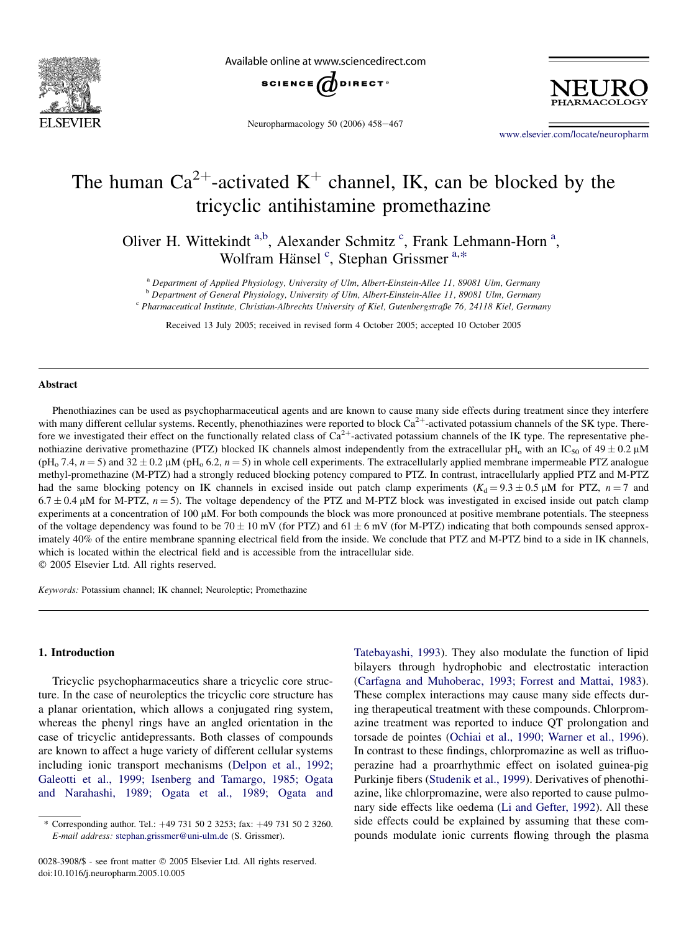

Available online at www.sciencedirect.com



Neuropharmacology 50 (2006) 458-467

[www.elsevier.com/locate/neuropharm](http://www.elsevier.com/locate/neuropharm)

# The human  $Ca^{2+}$ -activated K<sup>+</sup> channel, IK, can be blocked by the tricyclic antihistamine promethazine

Oliver H. Wittekindt a,b, Alexander Schmitz<sup>c</sup>, Frank Lehmann-Horn<sup>a</sup>, Wolfram Hänsel<sup>c</sup>, Stephan Grissmer<sup>a,\*</sup>

<sup>a</sup> Department of Applied Physiology, University of Ulm, Albert-Einstein-Allee 11, 89081 Ulm, Germany

 $\overline{D}$  Department of General Physiology, University of Ulm, Albert-Einstein-Allee 11, 89081 Ulm, Germany c Pharmaceutical Institute, Christian-Albrechts University of Kiel, Gutenbergstraße 76, 24118 Kiel, Germany

Received 13 July 2005; received in revised form 4 October 2005; accepted 10 October 2005

# Abstract

Phenothiazines can be used as psychopharmaceutical agents and are known to cause many side effects during treatment since they interfere with many different cellular systems. Recently, phenothiazines were reported to block  $Ca^{2+}$ -activated potassium channels of the SK type. Therefore we investigated their effect on the functionally related class of  $Ca^{2+}$ -activated potassium channels of the IK type. The representative phenothiazine derivative promethazine (PTZ) blocked IK channels almost independently from the extracellular pH<sub>o</sub> with an IC<sub>50</sub> of  $49 \pm 0.2$  µM (pH<sub>o</sub> 7.4,  $n = 5$ ) and  $32 \pm 0.2$  µM (pH<sub>o</sub> 6.2,  $n = 5$ ) in whole cell experiments. The extracellularly applied membrane impermeable PTZ analogue methyl-promethazine (M-PTZ) had a strongly reduced blocking potency compared to PTZ. In contrast, intracellularly applied PTZ and M-PTZ had the same blocking potency on IK channels in excised inside out patch clamp experiments ( $K_d = 9.3 \pm 0.5 \mu M$  for PTZ,  $n = 7$  and  $6.7 \pm 0.4$  µM for M-PTZ,  $n = 5$ ). The voltage dependency of the PTZ and M-PTZ block was investigated in excised inside out patch clamp experiments at a concentration of  $100 \mu$ M. For both compounds the block was more pronounced at positive membrane potentials. The steepness of the voltage dependency was found to be 70  $\pm$  10 mV (for PTZ) and 61  $\pm$  6 mV (for M-PTZ) indicating that both compounds sensed approximately 40% of the entire membrane spanning electrical field from the inside. We conclude that PTZ and M-PTZ bind to a side in IK channels, which is located within the electrical field and is accessible from the intracellular side. 2005 Elsevier Ltd. All rights reserved.

Keywords: Potassium channel; IK channel; Neuroleptic; Promethazine

# 1. Introduction

Tricyclic psychopharmaceutics share a tricyclic core structure. In the case of neuroleptics the tricyclic core structure has a planar orientation, which allows a conjugated ring system, whereas the phenyl rings have an angled orientation in the case of tricyclic antidepressants. Both classes of compounds are known to affect a huge variety of different cellular systems including ionic transport mechanisms ([Delpon et al., 1992;](#page-9-0) [Galeotti et al., 1999; Isenberg and Tamargo, 1985; Ogata](#page-9-0) [and Narahashi, 1989; Ogata et al., 1989; Ogata and](#page-9-0)

[Tatebayashi, 1993](#page-9-0)). They also modulate the function of lipid bilayers through hydrophobic and electrostatic interaction [\(Carfagna and Muhoberac, 1993; Forrest and Mattai, 1983\)](#page-8-0). These complex interactions may cause many side effects during therapeutical treatment with these compounds. Chlorpromazine treatment was reported to induce QT prolongation and torsade de pointes [\(Ochiai et al., 1990; Warner et al., 1996\)](#page-9-0). In contrast to these findings, chlorpromazine as well as trifluoperazine had a proarrhythmic effect on isolated guinea-pig Purkinje fibers ([Studenik et al., 1999\)](#page-9-0). Derivatives of phenothiazine, like chlorpromazine, were also reported to cause pulmonary side effects like oedema [\(Li and Gefter, 1992](#page-9-0)). All these side effects could be explained by assuming that these compounds modulate ionic currents flowing through the plasma

<sup>\*</sup> Corresponding author. Tel.:  $+49$  731 50 2 3253; fax:  $+49$  731 50 2 3260. E-mail address: [stephan.grissmer@uni-ulm.de](mailto:stephan.grissmer@uni-ulm.de) (S. Grissmer).

<sup>0028-3908/\$ -</sup> see front matter © 2005 Elsevier Ltd. All rights reserved. doi:10.1016/j.neuropharm.2005.10.005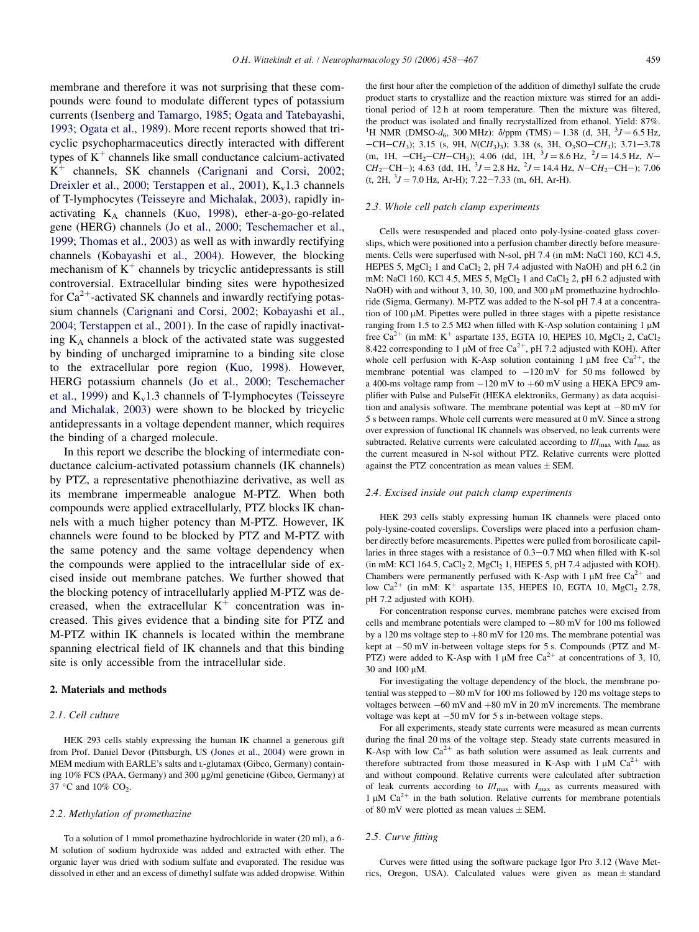membrane and therefore it was not surprising that these compounds were found to modulate different types of potassium currents ([Isenberg and Tamargo, 1985; Ogata and Tatebayashi,](#page-9-0) [1993; Ogata et al., 1989\)](#page-9-0). More recent reports showed that tricyclic psychopharmaceutics directly interacted with different types of  $K^+$  channels like small conductance calcium-activated  $K^+$  channels, SK channels ([Carignani and Corsi, 2002;](#page-9-0) [Dreixler et al., 2000; Terstappen et al., 2001](#page-9-0)),  $K_v1.3$  channels of T-lymphocytes [\(Teisseyre and Michalak, 2003\)](#page-9-0), rapidly inactivating  $K_A$  channels ([Kuo, 1998\)](#page-9-0), ether-a-go-go-related gene (HERG) channels [\(Jo et al., 2000; Teschemacher et al.,](#page-9-0) [1999; Thomas et al., 2003\)](#page-9-0) as well as with inwardly rectifying channels ([Kobayashi et al., 2004](#page-9-0)). However, the blocking mechanism of  $K^+$  channels by tricyclic antidepressants is still controversial. Extracellular binding sites were hypothesized for  $Ca^{2+}$ -activated SK channels and inwardly rectifying potassium channels ([Carignani and Corsi, 2002; Kobayashi et al.,](#page-9-0) [2004; Terstappen et al., 2001](#page-9-0)). In the case of rapidly inactivating  $K_A$  channels a block of the activated state was suggested by binding of uncharged imipramine to a binding site close to the extracellular pore region [\(Kuo, 1998](#page-9-0)). However, HERG potassium channels [\(Jo et al., 2000; Teschemacher](#page-9-0) [et al., 1999\)](#page-9-0) and  $K_v1.3$  channels of T-lymphocytes ([Teisseyre](#page-9-0) [and Michalak, 2003](#page-9-0)) were shown to be blocked by tricyclic antidepressants in a voltage dependent manner, which requires the binding of a charged molecule.

In this report we describe the blocking of intermediate conductance calcium-activated potassium channels (IK channels) by PTZ, a representative phenothiazine derivative, as well as its membrane impermeable analogue M-PTZ. When both compounds were applied extracellularly, PTZ blocks IK channels with a much higher potency than M-PTZ. However, IK channels were found to be blocked by PTZ and M-PTZ with the same potency and the same voltage dependency when the compounds were applied to the intracellular side of excised inside out membrane patches. We further showed that the blocking potency of intracellularly applied M-PTZ was decreased, when the extracellular  $K^+$  concentration was increased. This gives evidence that a binding site for PTZ and M-PTZ within IK channels is located within the membrane spanning electrical field of IK channels and that this binding site is only accessible from the intracellular side.

# 2. Materials and methods

# 2.1. Cell culture

HEK 293 cells stably expressing the human IK channel a generous gift from Prof. Daniel Devor (Pittsburgh, US [\(Jones et al., 2004](#page-9-0)) were grown in MEM medium with EARLE's salts and L-glutamax (Gibco, Germany) containing 10% FCS (PAA, Germany) and 300 μg/ml geneticine (Gibco, Germany) at 37 °C and 10%  $CO<sub>2</sub>$ .

# 2.2. Methylation of promethazine

To a solution of 1 mmol promethazine hydrochloride in water (20 ml), a 6- M solution of sodium hydroxide was added and extracted with ether. The organic layer was dried with sodium sulfate and evaporated. The residue was dissolved in ether and an excess of dimethyl sulfate was added dropwise. Within the first hour after the completion of the addition of dimethyl sulfate the crude product starts to crystallize and the reaction mixture was stirred for an additional period of 12 h at room temperature. Then the mixture was filtered, the product was isolated and finally recrystallized from ethanol. Yield: 87%. <sup>1</sup>H NMR (DMSO- $d_6$ , 300 MHz):  $\delta$ /ppm (TMS) = 1.38 (d, 3H, <sup>3</sup>J = 6.5 Hz,  $-CH-CH_3$ ); 3.15 (s, 9H,  $N(CH_3)$ ; 3.38 (s, 3H, O<sub>3</sub>SO $-CH_3$ ); 3.71–3.78 (m, 1H,  $-CH_2-CH-CH_3$ ); 4.06 (dd, 1H, <sup>3</sup> $J = 8.6$  Hz, <sup>2</sup> $J = 14.5$  Hz,  $N CH_2$ –CH–); 4.63 (dd, 1H,  $3J = 2.8$  Hz,  $2J = 14.4$  Hz,  $N - CH_2$ –CH–); 7.06  $(t, 2H, {}^{3}J = 7.0 \text{ Hz}, \text{ Ar-H}; 7.22-7.33 \text{ (m, 6H, Ar-H)}.$ 

#### 2.3. Whole cell patch clamp experiments

Cells were resuspended and placed onto poly-lysine-coated glass coverslips, which were positioned into a perfusion chamber directly before measurements. Cells were superfused with N-sol, pH 7.4 (in mM: NaCl 160, KCl 4.5, HEPES 5, MgCl<sub>2</sub> 1 and CaCl<sub>2</sub> 2, pH 7.4 adjusted with NaOH) and pH 6.2 (in mM: NaCl 160, KCl 4.5, MES 5, MgCl<sub>2</sub> 1 and CaCl<sub>2</sub> 2, pH 6.2 adjusted with NaOH) with and without 3, 10, 30, 100, and 300  $\mu$ M promethazine hydrochloride (Sigma, Germany). M-PTZ was added to the N-sol pH 7.4 at a concentration of  $100 \mu$ M. Pipettes were pulled in three stages with a pipette resistance ranging from 1.5 to 2.5 M $\Omega$  when filled with K-Asp solution containing 1  $\mu$ M free  $Ca^{2+}$  (in mM: K<sup>+</sup> aspartate 135, EGTA 10, HEPES 10, MgCl<sub>2</sub> 2, CaCl<sub>2</sub> 8.422 corresponding to 1  $\mu$ M of free Ca<sup>2+</sup>, pH 7.2 adjusted with KOH). After whole cell perfusion with K-Asp solution containing 1  $\mu$ M free Ca<sup>2+</sup>, the membrane potential was clamped to  $-120$  mV for 50 ms followed by a 400-ms voltage ramp from  $-120$  mV to  $+60$  mV using a HEKA EPC9 amplifier with Pulse and PulseFit (HEKA elektroniks, Germany) as data acquisition and analysis software. The membrane potential was kept at  $-80$  mV for 5 s between ramps. Whole cell currents were measured at 0 mV. Since a strong over expression of functional IK channels was observed, no leak currents were subtracted. Relative currents were calculated according to  $I/I_{\text{max}}$  with  $I_{\text{max}}$  as the current measured in N-sol without PTZ. Relative currents were plotted against the PTZ concentration as mean values  $\pm$  SEM.

#### 2.4. Excised inside out patch clamp experiments

HEK 293 cells stably expressing human IK channels were placed onto poly-lysine-coated coverslips. Coverslips were placed into a perfusion chamber directly before measurements. Pipettes were pulled from borosilicate capillaries in three stages with a resistance of  $0.3-0.7$  M $\Omega$  when filled with K-sol (in mM: KCl 164.5, CaCl<sub>2</sub> 2, MgCl<sub>2</sub> 1, HEPES 5, pH 7.4 adjusted with KOH). Chambers were permanently perfused with K-Asp with 1  $\mu$ M free Ca<sup>2+</sup> and low  $Ca^{2+}$  (in mM: K<sup>+</sup> aspartate 135, HEPES 10, EGTA 10, MgCl<sub>2</sub> 2.78, pH 7.2 adjusted with KOH).

For concentration response curves, membrane patches were excised from cells and membrane potentials were clamped to  $-80$  mV for 100 ms followed by a 120 ms voltage step to  $+80$  mV for 120 ms. The membrane potential was kept at  $-50$  mV in-between voltage steps for 5 s. Compounds (PTZ and M-PTZ) were added to K-Asp with 1  $\mu$ M free Ca<sup>2+</sup> at concentrations of 3, 10, 30 and 100 µM.

For investigating the voltage dependency of the block, the membrane potential was stepped to  $-80$  mV for 100 ms followed by 120 ms voltage steps to voltages between  $-60$  mV and  $+80$  mV in 20 mV increments. The membrane voltage was kept at  $-50$  mV for 5 s in-between voltage steps.

For all experiments, steady state currents were measured as mean currents during the final 20 ms of the voltage step. Steady state currents measured in K-Asp with low  $Ca^{2+}$  as bath solution were assumed as leak currents and therefore subtracted from those measured in K-Asp with  $1 \mu M$  Ca<sup>2+</sup> with and without compound. Relative currents were calculated after subtraction of leak currents according to  $I/I_{\text{max}}$  with  $I_{\text{max}}$  as currents measured with 1  $\mu$ M Ca<sup>2+</sup> in the bath solution. Relative currents for membrane potentials of 80 mV were plotted as mean values  $\pm$  SEM.

#### 2.5. Curve fitting

Curves were fitted using the software package Igor Pro 3.12 (Wave Metrics, Oregon, USA). Calculated values were given as mean  $\pm$  standard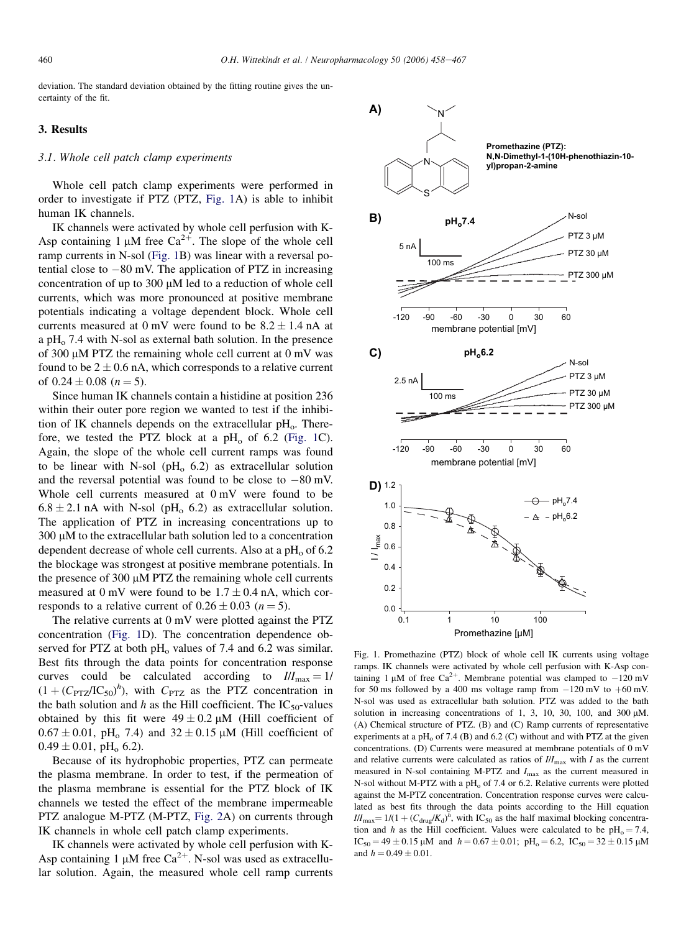<span id="page-2-0"></span>deviation. The standard deviation obtained by the fitting routine gives the uncertainty of the fit.

# 3. Results

#### 3.1. Whole cell patch clamp experiments

Whole cell patch clamp experiments were performed in order to investigate if PTZ (PTZ, Fig. 1A) is able to inhibit human IK channels.

IK channels were activated by whole cell perfusion with K-Asp containing 1  $\mu$ M free Ca<sup>2+</sup>. The slope of the whole cell ramp currents in N-sol (Fig. 1B) was linear with a reversal potential close to  $-80$  mV. The application of PTZ in increasing concentration of up to 300  $\mu$ M led to a reduction of whole cell currents, which was more pronounced at positive membrane potentials indicating a voltage dependent block. Whole cell currents measured at 0 mV were found to be  $8.2 \pm 1.4$  nA at a pH $_{0}$  7.4 with N-sol as external bath solution. In the presence of 300  $\mu$ M PTZ the remaining whole cell current at 0 mV was found to be  $2 \pm 0.6$  nA, which corresponds to a relative current of  $0.24 \pm 0.08$  ( $n = 5$ ).

Since human IK channels contain a histidine at position 236 within their outer pore region we wanted to test if the inhibition of IK channels depends on the extracellular  $pH<sub>o</sub>$ . Therefore, we tested the PTZ block at a  $pH_0$  of 6.2 (Fig. 1C). Again, the slope of the whole cell current ramps was found to be linear with N-sol ( $pH_0$  6.2) as extracellular solution and the reversal potential was found to be close to  $-80$  mV. Whole cell currents measured at 0 mV were found to be  $6.8 \pm 2.1$  nA with N-sol (pH<sub>o</sub> 6.2) as extracellular solution. The application of PTZ in increasing concentrations up to  $300 \mu$ M to the extracellular bath solution led to a concentration dependent decrease of whole cell currents. Also at a  $pH<sub>o</sub>$  of 6.2 the blockage was strongest at positive membrane potentials. In the presence of  $300 \mu M$  PTZ the remaining whole cell currents measured at 0 mV were found to be  $1.7 \pm 0.4$  nA, which corresponds to a relative current of  $0.26 \pm 0.03$  (n = 5).

The relative currents at 0 mV were plotted against the PTZ concentration (Fig. 1D). The concentration dependence observed for PTZ at both  $pH<sub>o</sub>$  values of 7.4 and 6.2 was similar. Best fits through the data points for concentration response curves could be calculated according to  $III_{\text{max}} = 1/$  $(1 + (C_{PTZ}/IC_{50})^h)$ , with  $C_{PTZ}$  as the PTZ concentration in the bath solution and h as the Hill coefficient. The  $IC_{50}$ -values obtained by this fit were  $49 \pm 0.2 \mu M$  (Hill coefficient of  $0.67 \pm 0.01$ , pH<sub>o</sub> 7.4) and  $32 \pm 0.15$  µM (Hill coefficient of  $0.49 \pm 0.01$ , pH<sub>o</sub> 6.2).

Because of its hydrophobic properties, PTZ can permeate the plasma membrane. In order to test, if the permeation of the plasma membrane is essential for the PTZ block of IK channels we tested the effect of the membrane impermeable PTZ analogue M-PTZ (M-PTZ, [Fig. 2A](#page-3-0)) on currents through IK channels in whole cell patch clamp experiments.

IK channels were activated by whole cell perfusion with K-Asp containing 1  $\mu$ M free Ca<sup>2+</sup>. N-sol was used as extracellular solution. Again, the measured whole cell ramp currents



Fig. 1. Promethazine (PTZ) block of whole cell IK currents using voltage ramps. IK channels were activated by whole cell perfusion with K-Asp containing 1  $\mu$ M of free Ca<sup>2+</sup>. Membrane potential was clamped to  $-120$  mV for 50 ms followed by a 400 ms voltage ramp from  $-120$  mV to  $+60$  mV. N-sol was used as extracellular bath solution. PTZ was added to the bath solution in increasing concentrations of 1, 3, 10, 30, 100, and 300  $\mu$ M. (A) Chemical structure of PTZ. (B) and (C) Ramp currents of representative experiments at a pH $_{\odot}$  of 7.4 (B) and 6.2 (C) without and with PTZ at the given concentrations. (D) Currents were measured at membrane potentials of 0 mV and relative currents were calculated as ratios of  $III_{\text{max}}$  with I as the current measured in N-sol containing M-PTZ and  $I_{\text{max}}$  as the current measured in N-sol without M-PTZ with a  $pH_0$  of 7.4 or 6.2. Relative currents were plotted against the M-PTZ concentration. Concentration response curves were calculated as best fits through the data points according to the Hill equation  $I/I_{\text{max}} = 1/(1 + (C_{\text{drug}}/K_d)^h$ , with IC<sub>50</sub> as the half maximal blocking concentration and h as the Hill coefficient. Values were calculated to be  $pH_0 = 7.4$ ,  $IC_{50} = 49 \pm 0.15 \mu M$  and  $h = 0.67 \pm 0.01$ ;  $pH_0 = 6.2$ ,  $IC_{50} = 32 \pm 0.15 \mu M$ and  $h = 0.49 \pm 0.01$ .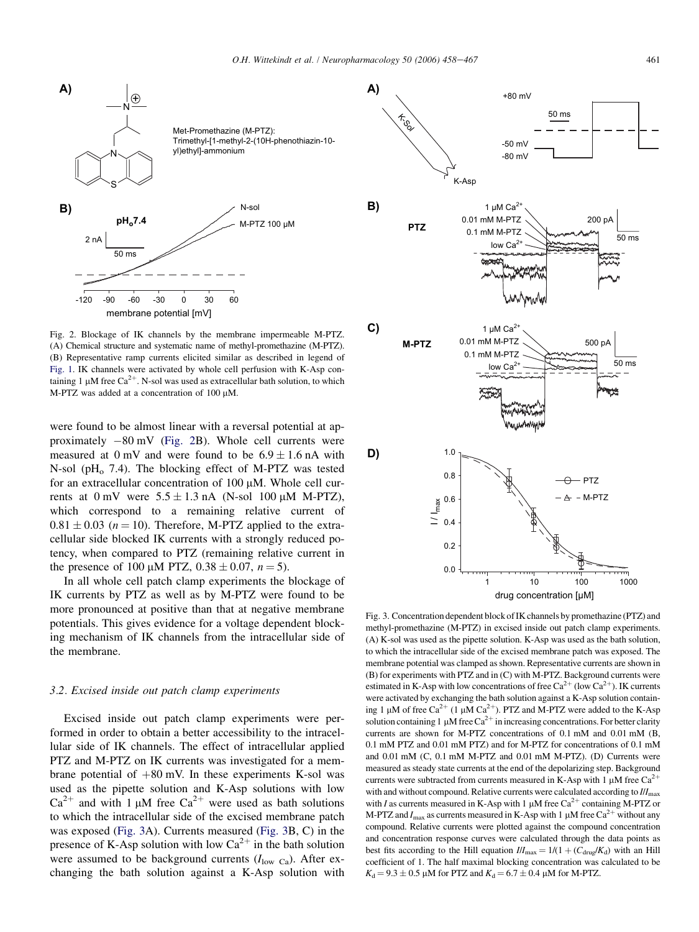<span id="page-3-0"></span>

Fig. 2. Blockage of IK channels by the membrane impermeable M-PTZ. (A) Chemical structure and systematic name of methyl-promethazine (M-PTZ). (B) Representative ramp currents elicited similar as described in legend of [Fig. 1.](#page-2-0) IK channels were activated by whole cell perfusion with K-Asp containing 1  $\mu$ M free Ca<sup>2+</sup>. N-sol was used as extracellular bath solution, to which M-PTZ was added at a concentration of  $100 \mu$ M.

were found to be almost linear with a reversal potential at approximately  $-80$  mV (Fig. 2B). Whole cell currents were measured at  $0 \text{ mV}$  and were found to be  $6.9 \pm 1.6 \text{ nA}$  with N-sol ( $pH<sub>o</sub>$  7.4). The blocking effect of M-PTZ was tested for an extracellular concentration of  $100 \mu M$ . Whole cell currents at  $0 \text{ mV}$  were  $5.5 \pm 1.3 \text{ nA}$  (N-sol 100  $\mu$ M M-PTZ), which correspond to a remaining relative current of  $0.81 \pm 0.03$  ( $n = 10$ ). Therefore, M-PTZ applied to the extracellular side blocked IK currents with a strongly reduced potency, when compared to PTZ (remaining relative current in the presence of 100  $\mu$ M PTZ, 0.38  $\pm$  0.07, n = 5).

In all whole cell patch clamp experiments the blockage of IK currents by PTZ as well as by M-PTZ were found to be more pronounced at positive than that at negative membrane potentials. This gives evidence for a voltage dependent blocking mechanism of IK channels from the intracellular side of the membrane.

#### 3.2. Excised inside out patch clamp experiments

Excised inside out patch clamp experiments were performed in order to obtain a better accessibility to the intracellular side of IK channels. The effect of intracellular applied PTZ and M-PTZ on IK currents was investigated for a membrane potential of  $+80$  mV. In these experiments K-sol was used as the pipette solution and K-Asp solutions with low  $Ca^{2+}$  and with 1 µM free  $Ca^{2+}$  were used as bath solutions to which the intracellular side of the excised membrane patch was exposed (Fig. 3A). Currents measured (Fig. 3B, C) in the presence of K-Asp solution with low  $Ca^{2+}$  in the bath solution were assumed to be background currents  $(I_{low\text{ }Ca})$ . After exchanging the bath solution against a K-Asp solution with



Fig. 3. Concentration dependent block of IK channels by promethazine (PTZ) and methyl-promethazine (M-PTZ) in excised inside out patch clamp experiments. (A) K-sol was used as the pipette solution. K-Asp was used as the bath solution, to which the intracellular side of the excised membrane patch was exposed. The membrane potential was clamped as shown. Representative currents are shown in (B) for experiments with PTZ and in (C) with M-PTZ. Background currents were estimated in K-Asp with low concentrations of free  $Ca^{2+}$  (low  $Ca^{2+}$ ). IK currents were activated by exchanging the bath solution against a K-Asp solution containing 1  $\mu$ M of free Ca<sup>2+</sup> (1  $\mu$ M Ca<sup>2+</sup>). PTZ and M-PTZ were added to the K-Asp solution containing 1  $\mu$ M free Ca<sup>2+</sup> in increasing concentrations. For better clarity currents are shown for M-PTZ concentrations of 0.1 mM and 0.01 mM (B, 0.1 mM PTZ and 0.01 mM PTZ) and for M-PTZ for concentrations of 0.1 mM and  $0.01 \text{ mM } (C, 0.1 \text{ mM } M$ -PTZ and  $0.01 \text{ mM } M$ -PTZ). (D) Currents were measured as steady state currents at the end of the depolarizing step. Background currents were subtracted from currents measured in K-Asp with 1  $\mu$ M free Ca<sup>2+</sup> with and without compound. Relative currents were calculated according to  $III<sub>max</sub>$ with I as currents measured in K-Asp with 1  $\mu$ M free Ca<sup>2+</sup> containing M-PTZ or M-PTZ and  $I_{\text{max}}$  as currents measured in K-Asp with 1 µM free Ca<sup>2+</sup> without any compound. Relative currents were plotted against the compound concentration and concentration response curves were calculated through the data points as best fits according to the Hill equation  $I/I_{\text{max}} = 1/(1 + (C_{\text{drive}}/K_d))$  with an Hill coefficient of 1. The half maximal blocking concentration was calculated to be  $K_d = 9.3 \pm 0.5 \mu M$  for PTZ and  $K_d = 6.7 \pm 0.4 \mu M$  for M-PTZ.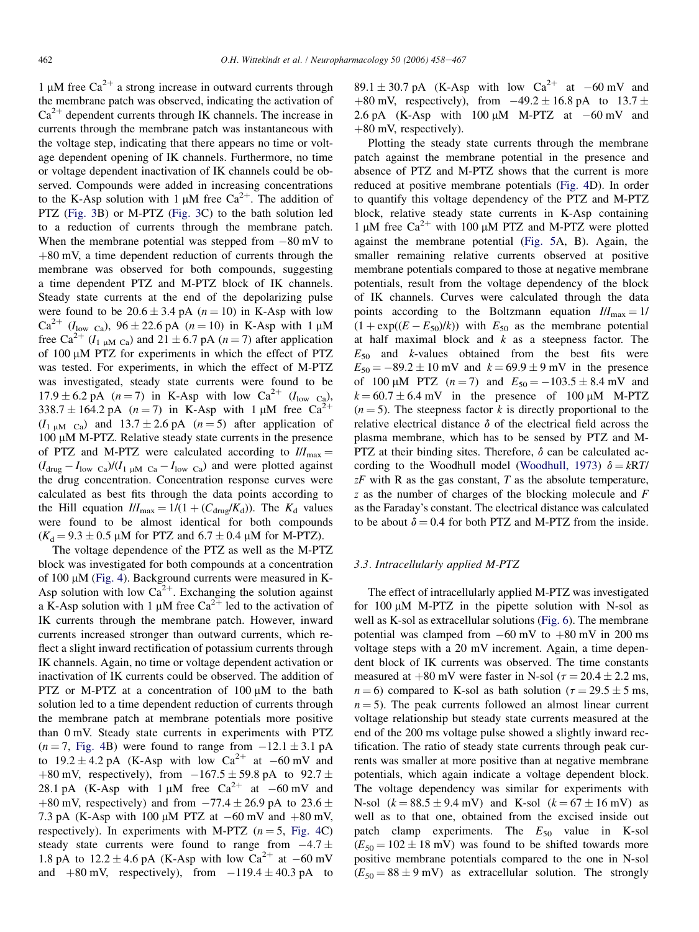1  $\mu$ M free Ca<sup>2+</sup> a strong increase in outward currents through the membrane patch was observed, indicating the activation of  $Ca<sup>2+</sup>$  dependent currents through IK channels. The increase in currents through the membrane patch was instantaneous with the voltage step, indicating that there appears no time or voltage dependent opening of IK channels. Furthermore, no time or voltage dependent inactivation of IK channels could be observed. Compounds were added in increasing concentrations to the K-Asp solution with 1  $\mu$ M free Ca<sup>2+</sup>. The addition of PTZ ([Fig. 3B](#page-3-0)) or M-PTZ ([Fig. 3](#page-3-0)C) to the bath solution led to a reduction of currents through the membrane patch. When the membrane potential was stepped from  $-80$  mV to  $+80$  mV, a time dependent reduction of currents through the membrane was observed for both compounds, suggesting a time dependent PTZ and M-PTZ block of IK channels. Steady state currents at the end of the depolarizing pulse were found to be  $20.6 \pm 3.4$  pA  $(n = 10)$  in K-Asp with low  $Ca^{2+}$  ( $I_{low \text{Ca}}$ ), 96 ± 22.6 pA (n = 10) in K-Asp with 1  $\mu$ M free Ca<sup>2+</sup> (I<sub>1 mM Ca</sub>) and 21  $\pm$  6.7 pA (n = 7) after application of 100  $\mu$ M PTZ for experiments in which the effect of PTZ was tested. For experiments, in which the effect of M-PTZ was investigated, steady state currents were found to be  $17.9 \pm 6.2$  pA (n = 7) in K-Asp with low Ca<sup>2+</sup> (I<sub>low Ca</sub>),  $338.7 \pm 164.2 \text{ pA}$  (n = 7) in K-Asp with 1  $\mu$ M free Ca<sup>2</sup>  $(I_{1 \text{ uM Ca}})$  and  $13.7 \pm 2.6 \text{ pA}$   $(n=5)$  after application of  $100 \mu M$  M-PTZ. Relative steady state currents in the presence of PTZ and M-PTZ were calculated according to  $III_{\text{max}} =$  $(I_{\text{drug}} - I_{\text{low Ca}})/(I_{1 \mu \text{M Ca}} - I_{\text{low Ca}})$  and were plotted against the drug concentration. Concentration response curves were calculated as best fits through the data points according to the Hill equation  $III_{\text{max}} = 1/(1 + (C_{\text{drug}}/K_d))$ . The  $K_d$  values were found to be almost identical for both compounds  $(K_d = 9.3 \pm 0.5 \,\mu\text{M}$  for PTZ and  $6.7 \pm 0.4 \,\mu\text{M}$  for M-PTZ).

The voltage dependence of the PTZ as well as the M-PTZ block was investigated for both compounds at a concentration of  $100 \mu M$  ([Fig. 4\)](#page-5-0). Background currents were measured in K-Asp solution with low  $Ca^{2+}$ . Exchanging the solution against a K-Asp solution with 1  $\mu$ M free Ca<sup>2+</sup> led to the activation of IK currents through the membrane patch. However, inward currents increased stronger than outward currents, which reflect a slight inward rectification of potassium currents through IK channels. Again, no time or voltage dependent activation or inactivation of IK currents could be observed. The addition of PTZ or M-PTZ at a concentration of  $100 \mu M$  to the bath solution led to a time dependent reduction of currents through the membrane patch at membrane potentials more positive than 0 mV. Steady state currents in experiments with PTZ  $(n = 7, Fig. 4B)$  $(n = 7, Fig. 4B)$  $(n = 7, Fig. 4B)$  were found to range from  $-12.1 \pm 3.1$  pA to  $19.2 \pm 4.2$  pA (K-Asp with low  $Ca^{2+}$  at  $-60$  mV and +80 mV, respectively), from  $-167.5 \pm 59.8$  pA to  $92.7 \pm$ 28.1 pA (K-Asp with 1  $\mu$ M free Ca<sup>2+</sup> at -60 mV and +80 mV, respectively) and from  $-77.4 \pm 26.9$  pA to  $23.6 \pm$ 7.3 pA (K-Asp with 100  $\mu$ M PTZ at  $-60$  mV and  $+80$  mV, respectively). In experiments with M-PTZ  $(n = 5, Fig. 4C)$  $(n = 5, Fig. 4C)$  $(n = 5, Fig. 4C)$ steady state currents were found to range from  $-4.7 \pm$ 1.8 pA to  $12.2 \pm 4.6$  pA (K-Asp with low Ca<sup>2+</sup> at -60 mV and  $+80$  mV, respectively), from  $-119.4 \pm 40.3$  pA to

89.1  $\pm$  30.7 pA (K-Asp with low Ca<sup>2+</sup> at -60 mV and +80 mV, respectively), from  $-49.2 \pm 16.8$  pA to  $13.7 \pm$ 2.6 pA (K-Asp with  $100 \mu M$  M-PTZ at  $-60 \mu V$  and  $+80$  mV, respectively).

Plotting the steady state currents through the membrane patch against the membrane potential in the presence and absence of PTZ and M-PTZ shows that the current is more reduced at positive membrane potentials [\(Fig. 4](#page-5-0)D). In order to quantify this voltage dependency of the PTZ and M-PTZ block, relative steady state currents in K-Asp containing 1  $\mu$ M free Ca<sup>2+</sup> with 100  $\mu$ M PTZ and M-PTZ were plotted against the membrane potential ([Fig. 5A](#page-6-0), B). Again, the smaller remaining relative currents observed at positive membrane potentials compared to those at negative membrane potentials, result from the voltage dependency of the block of IK channels. Curves were calculated through the data points according to the Boltzmann equation  $I/I_{\text{max}} = 1/$  $(1 + \exp((E - E_{50})/k))$  with  $E_{50}$  as the membrane potential at half maximal block and  $k$  as a steepness factor. The  $E_{50}$  and k-values obtained from the best fits were  $E_{50} = -89.2 \pm 10$  mV and  $k = 69.9 \pm 9$  mV in the presence of 100  $\mu$ M PTZ (*n* = 7) and  $E_{50} = -103.5 \pm 8.4$  mV and  $k = 60.7 \pm 6.4$  mV in the presence of 100  $\mu$ M M-PTZ  $(n = 5)$ . The steepness factor k is directly proportional to the relative electrical distance  $\delta$  of the electrical field across the plasma membrane, which has to be sensed by PTZ and M-PTZ at their binding sites. Therefore,  $\delta$  can be calculated ac-cording to the Woodhull model ([Woodhull, 1973](#page-9-0))  $\delta = kRT$ /  $zF$  with R as the gas constant, T as the absolute temperature,  $z$  as the number of charges of the blocking molecule and  $F$ as the Faraday's constant. The electrical distance was calculated to be about  $\delta = 0.4$  for both PTZ and M-PTZ from the inside.

# 3.3. Intracellularly applied M-PTZ

The effect of intracellularly applied M-PTZ was investigated for  $100 \mu M$  M-PTZ in the pipette solution with N-sol as well as K-sol as extracellular solutions [\(Fig. 6](#page-7-0)). The membrane potential was clamped from  $-60$  mV to  $+80$  mV in 200 ms voltage steps with a 20 mV increment. Again, a time dependent block of IK currents was observed. The time constants measured at  $+80$  mV were faster in N-sol ( $\tau = 20.4 \pm 2.2$  ms,  $n = 6$ ) compared to K-sol as bath solution ( $\tau = 29.5 \pm 5$  ms,  $n = 5$ ). The peak currents followed an almost linear current voltage relationship but steady state currents measured at the end of the 200 ms voltage pulse showed a slightly inward rectification. The ratio of steady state currents through peak currents was smaller at more positive than at negative membrane potentials, which again indicate a voltage dependent block. The voltage dependency was similar for experiments with N-sol  $(k = 88.5 \pm 9.4 \text{ mV})$  and K-sol  $(k = 67 \pm 16 \text{ mV})$  as well as to that one, obtained from the excised inside out patch clamp experiments. The  $E_{50}$  value in K-sol  $(E_{50} = 102 \pm 18 \text{ mV})$  was found to be shifted towards more positive membrane potentials compared to the one in N-sol  $(E_{50} = 88 \pm 9 \text{ mV})$  as extracellular solution. The strongly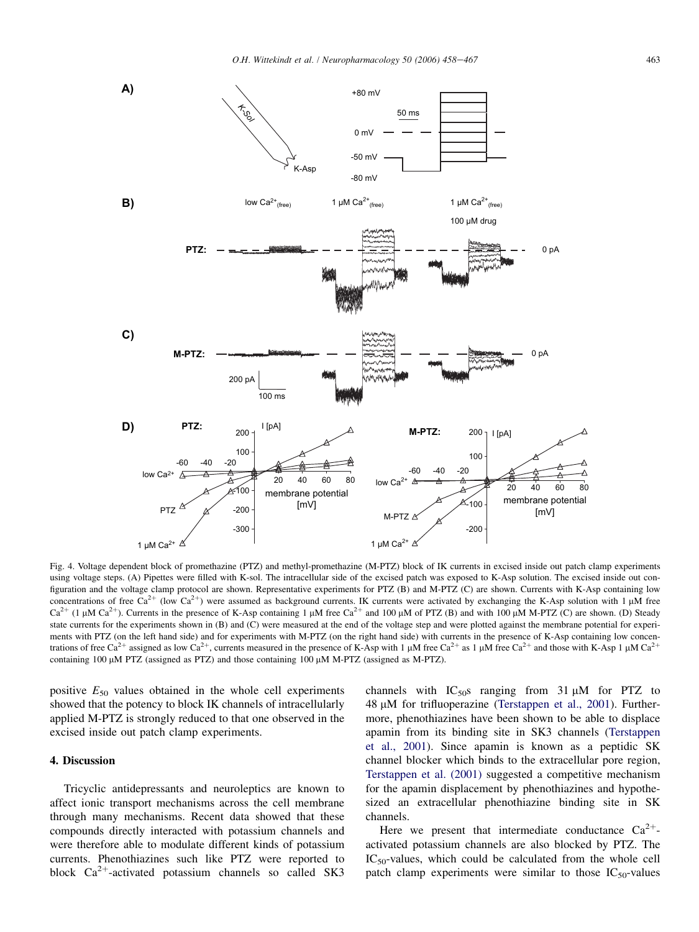<span id="page-5-0"></span>

Fig. 4. Voltage dependent block of promethazine (PTZ) and methyl-promethazine (M-PTZ) block of IK currents in excised inside out patch clamp experiments using voltage steps. (A) Pipettes were filled with K-sol. The intracellular side of the excised patch was exposed to K-Asp solution. The excised inside out configuration and the voltage clamp protocol are shown. Representative experiments for PTZ (B) and M-PTZ (C) are shown. Currents with K-Asp containing low concentrations of free Ca<sup>2+</sup> (low Ca<sup>2+</sup>) were assumed as background currents. IK currents were activated by exchanging the K-Asp solution with 1  $\mu$ M free  $Ca^{2+}$  (1 µM  $Ca^{2+}$ ). Currents in the presence of K-Asp containing 1 µM free  $Ca^{2+}$  and 100 µM of PTZ (B) and with 100 µM M-PTZ (C) are shown. (D) Steady state currents for the experiments shown in (B) and (C) were measured at the end of the voltage step and were plotted against the membrane potential for experiments with PTZ (on the left hand side) and for experiments with M-PTZ (on the right hand side) with currents in the presence of K-Asp containing low concentrations of free Ca<sup>2+</sup> assigned as low Ca<sup>2+</sup>, currents measured in the presence of K-Asp with 1  $\mu$ M free Ca<sup>2+</sup> as 1  $\mu$ M free Ca<sup>2+</sup> and those with K-Asp 1  $\mu$ M Ca<sup>2+</sup> containing 100 µM PTZ (assigned as PTZ) and those containing 100 µM M-PTZ (assigned as M-PTZ).

positive  $E_{50}$  values obtained in the whole cell experiments showed that the potency to block IK channels of intracellularly applied M-PTZ is strongly reduced to that one observed in the excised inside out patch clamp experiments.

# 4. Discussion

Tricyclic antidepressants and neuroleptics are known to affect ionic transport mechanisms across the cell membrane through many mechanisms. Recent data showed that these compounds directly interacted with potassium channels and were therefore able to modulate different kinds of potassium currents. Phenothiazines such like PTZ were reported to block  $Ca^{2+}$ -activated potassium channels so called SK3

channels with  $IC_{50}$ s ranging from 31  $\mu$ M for PTZ to 48 μM for trifluoperazine [\(Terstappen et al., 2001\)](#page-9-0). Furthermore, phenothiazines have been shown to be able to displace apamin from its binding site in SK3 channels ([Terstappen](#page-9-0) [et al., 2001\)](#page-9-0). Since apamin is known as a peptidic SK channel blocker which binds to the extracellular pore region, [Terstappen et al. \(2001\)](#page-9-0) suggested a competitive mechanism for the apamin displacement by phenothiazines and hypothesized an extracellular phenothiazine binding site in SK channels.

Here we present that intermediate conductance  $Ca^{2+}$ activated potassium channels are also blocked by PTZ. The  $IC_{50}$ -values, which could be calculated from the whole cell patch clamp experiments were similar to those  $IC_{50}$ -values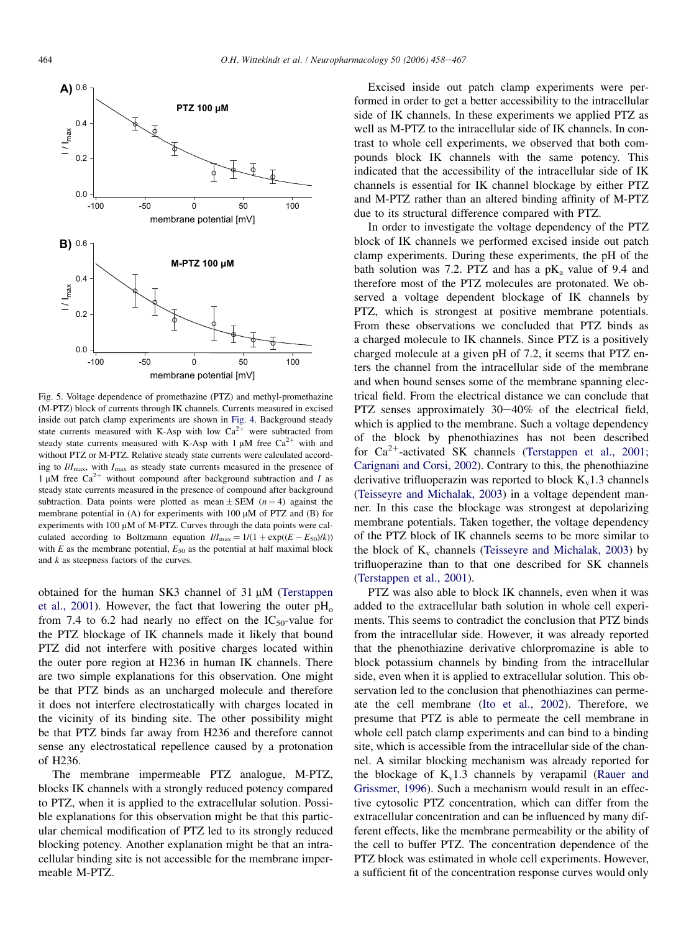<span id="page-6-0"></span>

Fig. 5. Voltage dependence of promethazine (PTZ) and methyl-promethazine (M-PTZ) block of currents through IK channels. Currents measured in excised inside out patch clamp experiments are shown in [Fig. 4.](#page-5-0) Background steady state currents measured with K-Asp with low  $Ca^{2+}$  were subtracted from steady state currents measured with K-Asp with 1  $\mu$ M free Ca<sup>2+</sup> with and without PTZ or M-PTZ. Relative steady state currents were calculated according to  $I/I_{\text{max}}$ , with  $I_{\text{max}}$  as steady state currents measured in the presence of 1  $\mu$ M free Ca<sup>2+</sup> without compound after background subtraction and I as steady state currents measured in the presence of compound after background subtraction. Data points were plotted as mean  $\pm$  SEM (n = 4) against the membrane potential in (A) for experiments with  $100 \mu M$  of PTZ and (B) for experiments with 100  $\mu$ M of M-PTZ. Curves through the data points were calculated according to Boltzmann equation  $I/I_{\text{max}} = 1/(1 + \exp((E - E_{50})/k))$ with  $E$  as the membrane potential,  $E_{50}$  as the potential at half maximal block and  $k$  as steepness factors of the curves.

obtained for the human SK3 channel of  $31 \mu M$  ([Terstappen](#page-9-0) [et al., 2001](#page-9-0)). However, the fact that lowering the outer  $pH_0$ from 7.4 to 6.2 had nearly no effect on the  $IC_{50}$ -value for the PTZ blockage of IK channels made it likely that bound PTZ did not interfere with positive charges located within the outer pore region at H236 in human IK channels. There are two simple explanations for this observation. One might be that PTZ binds as an uncharged molecule and therefore it does not interfere electrostatically with charges located in the vicinity of its binding site. The other possibility might be that PTZ binds far away from H236 and therefore cannot sense any electrostatical repellence caused by a protonation of H236.

The membrane impermeable PTZ analogue, M-PTZ, blocks IK channels with a strongly reduced potency compared to PTZ, when it is applied to the extracellular solution. Possible explanations for this observation might be that this particular chemical modification of PTZ led to its strongly reduced blocking potency. Another explanation might be that an intracellular binding site is not accessible for the membrane impermeable M-PTZ.

Excised inside out patch clamp experiments were performed in order to get a better accessibility to the intracellular side of IK channels. In these experiments we applied PTZ as well as M-PTZ to the intracellular side of IK channels. In contrast to whole cell experiments, we observed that both compounds block IK channels with the same potency. This indicated that the accessibility of the intracellular side of IK channels is essential for IK channel blockage by either PTZ and M-PTZ rather than an altered binding affinity of M-PTZ due to its structural difference compared with PTZ.

In order to investigate the voltage dependency of the PTZ block of IK channels we performed excised inside out patch clamp experiments. During these experiments, the pH of the bath solution was 7.2. PTZ and has a  $pK_a$  value of 9.4 and therefore most of the PTZ molecules are protonated. We observed a voltage dependent blockage of IK channels by PTZ, which is strongest at positive membrane potentials. From these observations we concluded that PTZ binds as a charged molecule to IK channels. Since PTZ is a positively charged molecule at a given pH of 7.2, it seems that PTZ enters the channel from the intracellular side of the membrane and when bound senses some of the membrane spanning electrical field. From the electrical distance we can conclude that PTZ senses approximately  $30-40\%$  of the electrical field, which is applied to the membrane. Such a voltage dependency of the block by phenothiazines has not been described for  $Ca^{2+}$ -activated SK channels [\(Terstappen et al., 2001;](#page-9-0) [Carignani and Corsi, 2002](#page-9-0)). Contrary to this, the phenothiazine derivative trifluoperazin was reported to block  $K_v1.3$  channels [\(Teisseyre and Michalak, 2003](#page-9-0)) in a voltage dependent manner. In this case the blockage was strongest at depolarizing membrane potentials. Taken together, the voltage dependency of the PTZ block of IK channels seems to be more similar to the block of  $K_v$  channels [\(Teisseyre and Michalak, 2003\)](#page-9-0) by trifluoperazine than to that one described for SK channels [\(Terstappen et al., 2001](#page-9-0)).

PTZ was also able to block IK channels, even when it was added to the extracellular bath solution in whole cell experiments. This seems to contradict the conclusion that PTZ binds from the intracellular side. However, it was already reported that the phenothiazine derivative chlorpromazine is able to block potassium channels by binding from the intracellular side, even when it is applied to extracellular solution. This observation led to the conclusion that phenothiazines can permeate the cell membrane [\(Ito et al., 2002\)](#page-9-0). Therefore, we presume that PTZ is able to permeate the cell membrane in whole cell patch clamp experiments and can bind to a binding site, which is accessible from the intracellular side of the channel. A similar blocking mechanism was already reported for the blockage of  $K_v1.3$  channels by verapamil ([Rauer and](#page-9-0) [Grissmer, 1996\)](#page-9-0). Such a mechanism would result in an effective cytosolic PTZ concentration, which can differ from the extracellular concentration and can be influenced by many different effects, like the membrane permeability or the ability of the cell to buffer PTZ. The concentration dependence of the PTZ block was estimated in whole cell experiments. However, a sufficient fit of the concentration response curves would only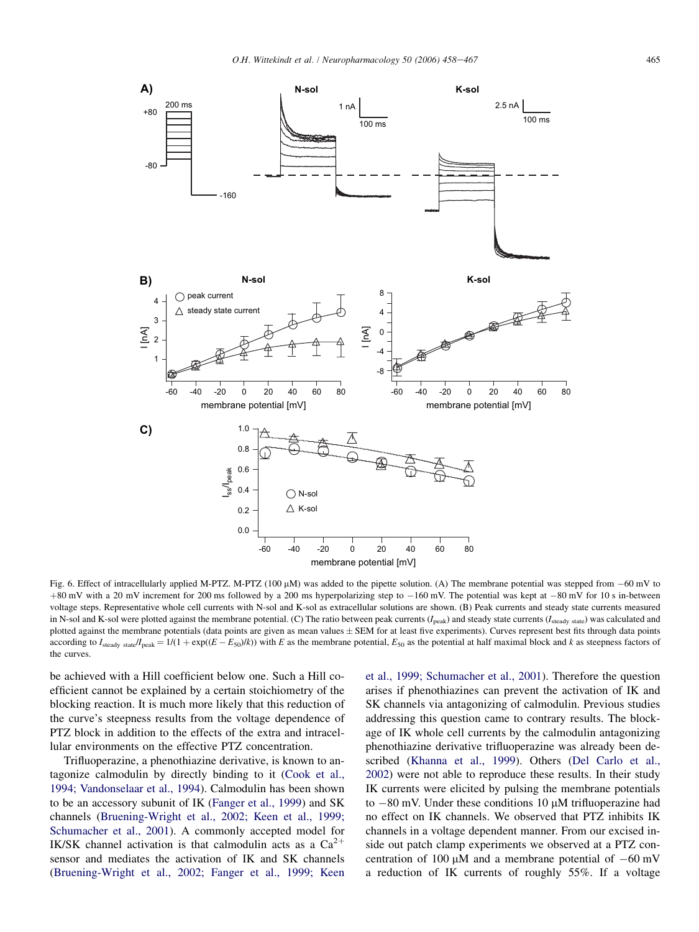<span id="page-7-0"></span>

Fig. 6. Effect of intracellularly applied M-PTZ. M-PTZ (100  $\mu$ M) was added to the pipette solution. (A) The membrane potential was stepped from  $-60$  mV to  $+80$  mV with a 20 mV increment for 200 ms followed by a 200 ms hyperpolarizing step to  $-160$  mV. The potential was kept at  $-80$  mV for 10 s in-between voltage steps. Representative whole cell currents with N-sol and K-sol as extracellular solutions are shown. (B) Peak currents and steady state currents measured in N-sol and K-sol were plotted against the membrane potential. (C) The ratio between peak currents ( $I_{\text{peak}}$ ) and steady state currents ( $I_{\text{steady state}}$ ) was calculated and plotted against the membrane potentials (data points are given as mean values  $\pm$  SEM for at least five experiments). Curves represent best fits through data points according to I<sub>steady state</sub>/I<sub>peak</sub> = 1/(1 + exp( $(E - E<sub>50</sub>)/k$ )) with E as the membrane potential,  $E<sub>50</sub>$  as the potential at half maximal block and k as steepness factors of the curves.

be achieved with a Hill coefficient below one. Such a Hill coefficient cannot be explained by a certain stoichiometry of the blocking reaction. It is much more likely that this reduction of the curve's steepness results from the voltage dependence of PTZ block in addition to the effects of the extra and intracellular environments on the effective PTZ concentration.

Trifluoperazine, a phenothiazine derivative, is known to antagonize calmodulin by directly binding to it ([Cook et al.,](#page-9-0) [1994; Vandonselaar et al., 1994\)](#page-9-0). Calmodulin has been shown to be an accessory subunit of IK ([Fanger et al., 1999](#page-9-0)) and SK channels ([Bruening-Wright et al., 2002; Keen et al., 1999;](#page-8-0) [Schumacher et al., 2001](#page-8-0)). A commonly accepted model for IK/SK channel activation is that calmodulin acts as a  $Ca^{2+}$ sensor and mediates the activation of IK and SK channels ([Bruening-Wright et al., 2002; Fanger et al., 1999; Keen](#page-8-0)

[et al., 1999; Schumacher et al., 2001\)](#page-8-0). Therefore the question arises if phenothiazines can prevent the activation of IK and SK channels via antagonizing of calmodulin. Previous studies addressing this question came to contrary results. The blockage of IK whole cell currents by the calmodulin antagonizing phenothiazine derivative trifluoperazine was already been described ([Khanna et al., 1999](#page-9-0)). Others ([Del Carlo et al.,](#page-9-0) [2002](#page-9-0)) were not able to reproduce these results. In their study IK currents were elicited by pulsing the membrane potentials to  $-80$  mV. Under these conditions 10  $\mu$ M trifluoperazine had no effect on IK channels. We observed that PTZ inhibits IK channels in a voltage dependent manner. From our excised inside out patch clamp experiments we observed at a PTZ concentration of 100  $\mu$ M and a membrane potential of  $-60$  mV a reduction of IK currents of roughly 55%. If a voltage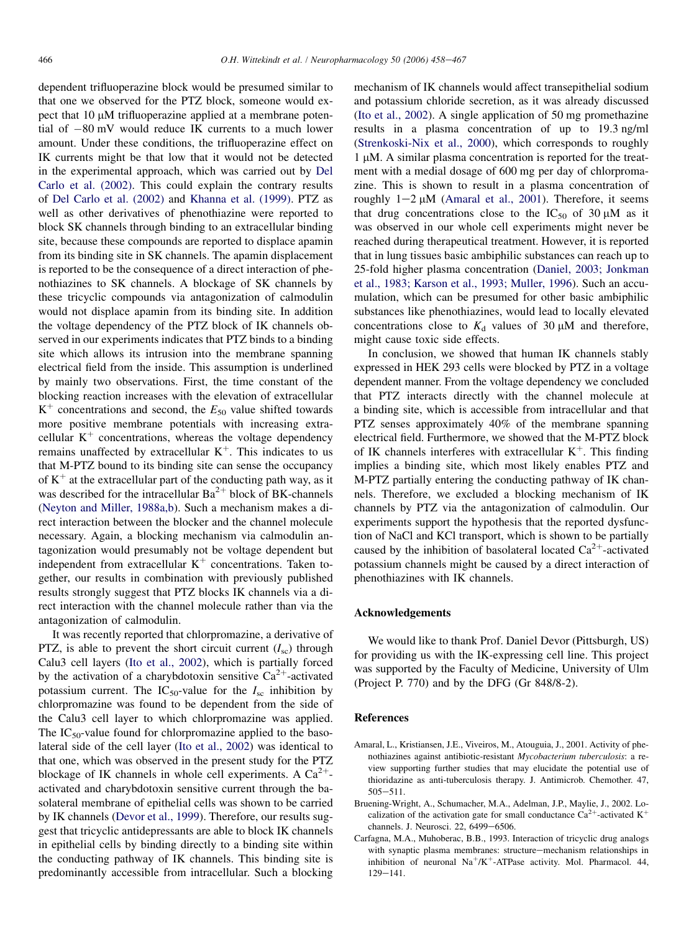<span id="page-8-0"></span>dependent trifluoperazine block would be presumed similar to that one we observed for the PTZ block, someone would expect that  $10 \mu M$  trifluoperazine applied at a membrane potential of  $-80$  mV would reduce IK currents to a much lower amount. Under these conditions, the trifluoperazine effect on IK currents might be that low that it would not be detected in the experimental approach, which was carried out by [Del](#page-9-0) [Carlo et al. \(2002\)](#page-9-0). This could explain the contrary results of [Del Carlo et al. \(2002\)](#page-9-0) and [Khanna et al. \(1999\).](#page-9-0) PTZ as well as other derivatives of phenothiazine were reported to block SK channels through binding to an extracellular binding site, because these compounds are reported to displace apamin from its binding site in SK channels. The apamin displacement is reported to be the consequence of a direct interaction of phenothiazines to SK channels. A blockage of SK channels by these tricyclic compounds via antagonization of calmodulin would not displace apamin from its binding site. In addition the voltage dependency of the PTZ block of IK channels observed in our experiments indicates that PTZ binds to a binding site which allows its intrusion into the membrane spanning electrical field from the inside. This assumption is underlined by mainly two observations. First, the time constant of the blocking reaction increases with the elevation of extracellular  $K^+$  concentrations and second, the  $E_{50}$  value shifted towards more positive membrane potentials with increasing extracellular  $K^+$  concentrations, whereas the voltage dependency remains unaffected by extracellular  $K^+$ . This indicates to us that M-PTZ bound to its binding site can sense the occupancy of  $K^+$  at the extracellular part of the conducting path way, as it was described for the intracellular  $Ba^{2+}$  block of BK-channels [\(Neyton and Miller, 1988a,b](#page-9-0)). Such a mechanism makes a direct interaction between the blocker and the channel molecule necessary. Again, a blocking mechanism via calmodulin antagonization would presumably not be voltage dependent but independent from extracellular  $K^+$  concentrations. Taken together, our results in combination with previously published results strongly suggest that PTZ blocks IK channels via a direct interaction with the channel molecule rather than via the antagonization of calmodulin.

It was recently reported that chlorpromazine, a derivative of PTZ, is able to prevent the short circuit current  $(I_{\rm sc})$  through Calu3 cell layers [\(Ito et al., 2002](#page-9-0)), which is partially forced by the activation of a charybdotoxin sensitive  $Ca^{2+}$ -activated potassium current. The IC<sub>50</sub>-value for the  $I_{\rm sc}$  inhibition by chlorpromazine was found to be dependent from the side of the Calu3 cell layer to which chlorpromazine was applied. The  $IC_{50}$ -value found for chlorpromazine applied to the basolateral side of the cell layer [\(Ito et al., 2002\)](#page-9-0) was identical to that one, which was observed in the present study for the PTZ blockage of IK channels in whole cell experiments. A  $Ca^{2+}$ activated and charybdotoxin sensitive current through the basolateral membrane of epithelial cells was shown to be carried by IK channels ([Devor et al., 1999\)](#page-9-0). Therefore, our results suggest that tricyclic antidepressants are able to block IK channels in epithelial cells by binding directly to a binding site within the conducting pathway of IK channels. This binding site is predominantly accessible from intracellular. Such a blocking

mechanism of IK channels would affect transepithelial sodium and potassium chloride secretion, as it was already discussed [\(Ito et al., 2002\)](#page-9-0). A single application of 50 mg promethazine results in a plasma concentration of up to 19.3 ng/ml [\(Strenkoski-Nix et al., 2000](#page-9-0)), which corresponds to roughly  $1 \mu$ M. A similar plasma concentration is reported for the treatment with a medial dosage of 600 mg per day of chlorpromazine. This is shown to result in a plasma concentration of roughly  $1-2 \mu M$  (Amaral et al., 2001). Therefore, it seems that drug concentrations close to the  $IC_{50}$  of 30  $\mu$ M as it was observed in our whole cell experiments might never be reached during therapeutical treatment. However, it is reported that in lung tissues basic ambiphilic substances can reach up to 25-fold higher plasma concentration [\(Daniel, 2003; Jonkman](#page-9-0) [et al., 1983; Karson et al., 1993; Muller, 1996](#page-9-0)). Such an accumulation, which can be presumed for other basic ambiphilic substances like phenothiazines, would lead to locally elevated concentrations close to  $K_d$  values of 30  $\mu$ M and therefore, might cause toxic side effects.

In conclusion, we showed that human IK channels stably expressed in HEK 293 cells were blocked by PTZ in a voltage dependent manner. From the voltage dependency we concluded that PTZ interacts directly with the channel molecule at a binding site, which is accessible from intracellular and that PTZ senses approximately 40% of the membrane spanning electrical field. Furthermore, we showed that the M-PTZ block of IK channels interferes with extracellular  $K^+$ . This finding implies a binding site, which most likely enables PTZ and M-PTZ partially entering the conducting pathway of IK channels. Therefore, we excluded a blocking mechanism of IK channels by PTZ via the antagonization of calmodulin. Our experiments support the hypothesis that the reported dysfunction of NaCl and KCl transport, which is shown to be partially caused by the inhibition of basolateral located  $Ca^{2+}$ -activated potassium channels might be caused by a direct interaction of phenothiazines with IK channels.

# Acknowledgements

We would like to thank Prof. Daniel Devor (Pittsburgh, US) for providing us with the IK-expressing cell line. This project was supported by the Faculty of Medicine, University of Ulm (Project P. 770) and by the DFG (Gr 848/8-2).

# References

- Amaral, L., Kristiansen, J.E., Viveiros, M., Atouguia, J., 2001. Activity of phenothiazines against antibiotic-resistant Mycobacterium tuberculosis: a review supporting further studies that may elucidate the potential use of thioridazine as anti-tuberculosis therapy. J. Antimicrob. Chemother. 47,  $505 - 511.$
- Bruening-Wright, A., Schumacher, M.A., Adelman, J.P., Maylie, J., 2002. Localization of the activation gate for small conductance  $Ca^{2+}$ -activated K<sup>+</sup> channels. J. Neurosci. 22, 6499-6506.
- Carfagna, M.A., Muhoberac, B.B., 1993. Interaction of tricyclic drug analogs with synaptic plasma membranes: structure-mechanism relationships in inhibition of neuronal  $Na^{+}/K^{+}$ -ATPase activity. Mol. Pharmacol. 44,  $129 - 141.$